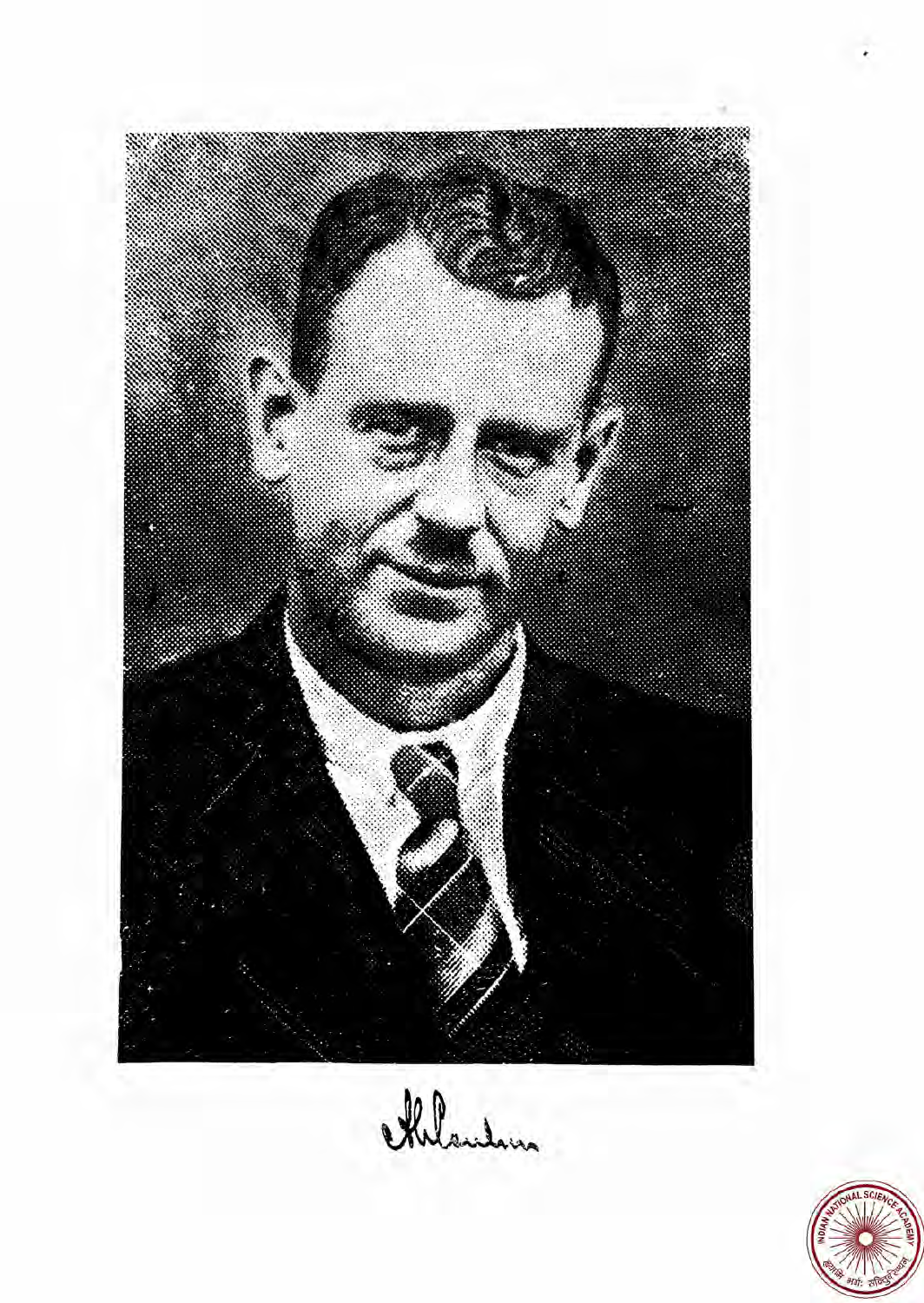

Allandana

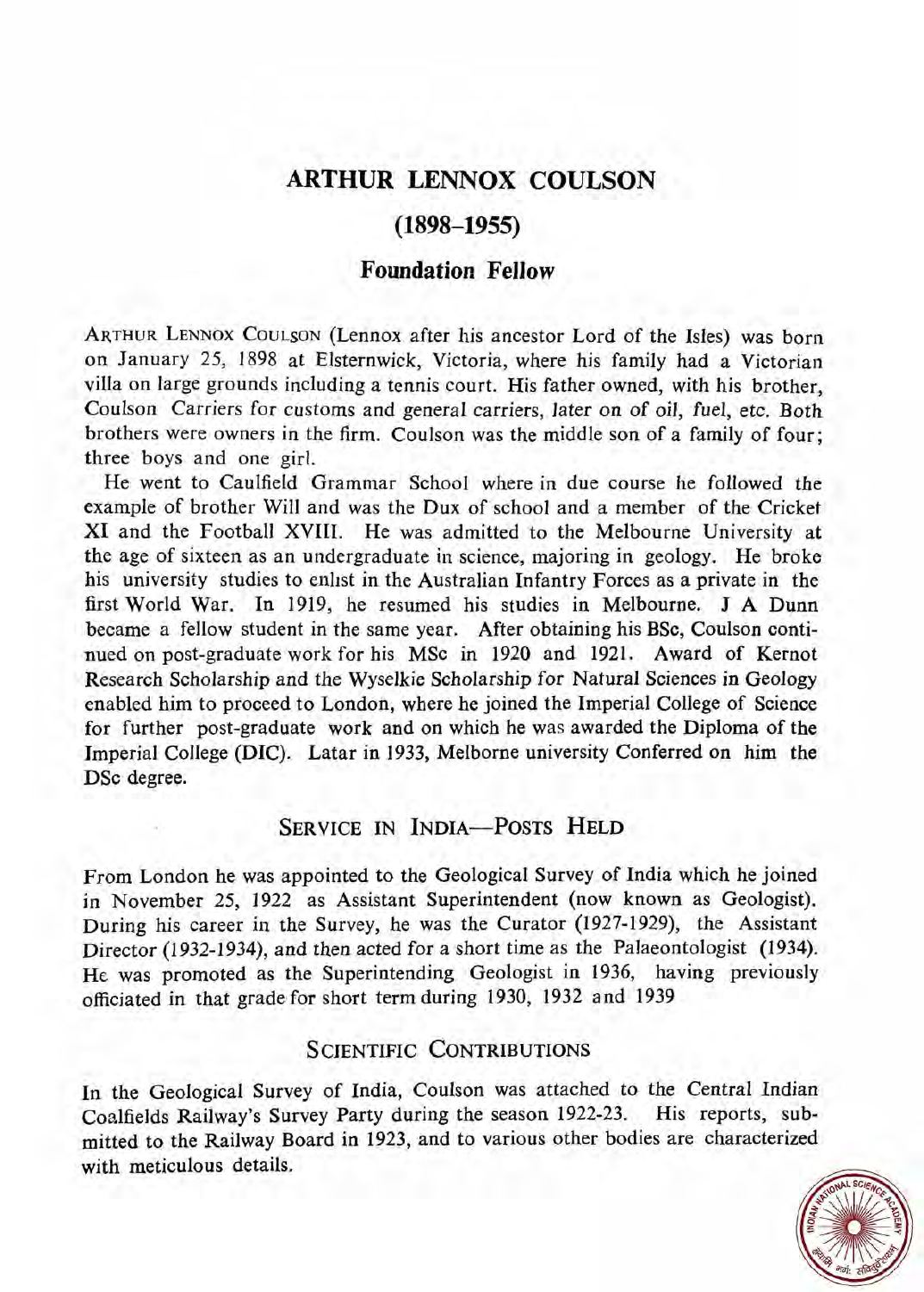# **ARTHUR LENNOX COULSON**

# **(1898-1955)**

### **Foundation Fellow**

ARTHUR LENNOX COULSON (Lennox after his ancestor Lord of the Isles) was born on January 25, 1898 at Elsternwick, Victoria, where his family had a Victorian villa on large grounds including a tennis court. His father owned, with his brother, Coulson Carriers for customs and general carriers, later on of oil, fuel, etc. Both brothers were owners in the firm. Coulson was the middle son of a family of four; three boys and one girl.

He went to Caulfield Gramniar School where in due course he followed the example of brother Will and was the Dux of school and a member of the Cricket XI and the Football XVIII. He was admitted to the Melbourne University at the age of sixteen as an undergraduate in science, majoring in geology. He broke his university studies to enlist in the Australian Infantry Forces as a private in the first World War. In 1919, he resumed his studies in Melbourne. J **A** Dunn became a fellow student in the same year. After obtaining his BSc, Coulson continued on post-graduate work for his MSc in 1920 and 1921. Award of Kernot Research Scholarship and the Wyselkie Scholarship for Natural Sciences in Geology enabled him to proceed to London, where he joined the Imperial College of Science for further post-graduate work and on which he was awarded the Diploma of the Imperial ColIege (DIC). Latar in 1933, Melborne university Conferred on him the DSc degree.

# SERVICE IN INDIA-POSTS HELD

From London he was appointed to the Geological Survey of India which he joined in November 25, 1922 as Assistant Superintendent (now known as Geologist). During his career in the Survey, he was the Curator (1927-1929), the Assistant Director (1932-1934), and then acted for a short time as the Palaeontologist (1934). He was promoted as the Superintending Geologist in 1936, having previously officiated in that grade for short term during 1930, 1932 and 1939

#### **SCIENTIFIC CONTRIBUTIONS**

In the Geological Survey of India, Coulson was attached to the Central Indian Coalfields Railway's Survey Party during the season 1922-23. His reports, submitted to the Railway Board in 1923, and to various other bodies are characterized with meticulous details.

![](_page_1_Picture_9.jpeg)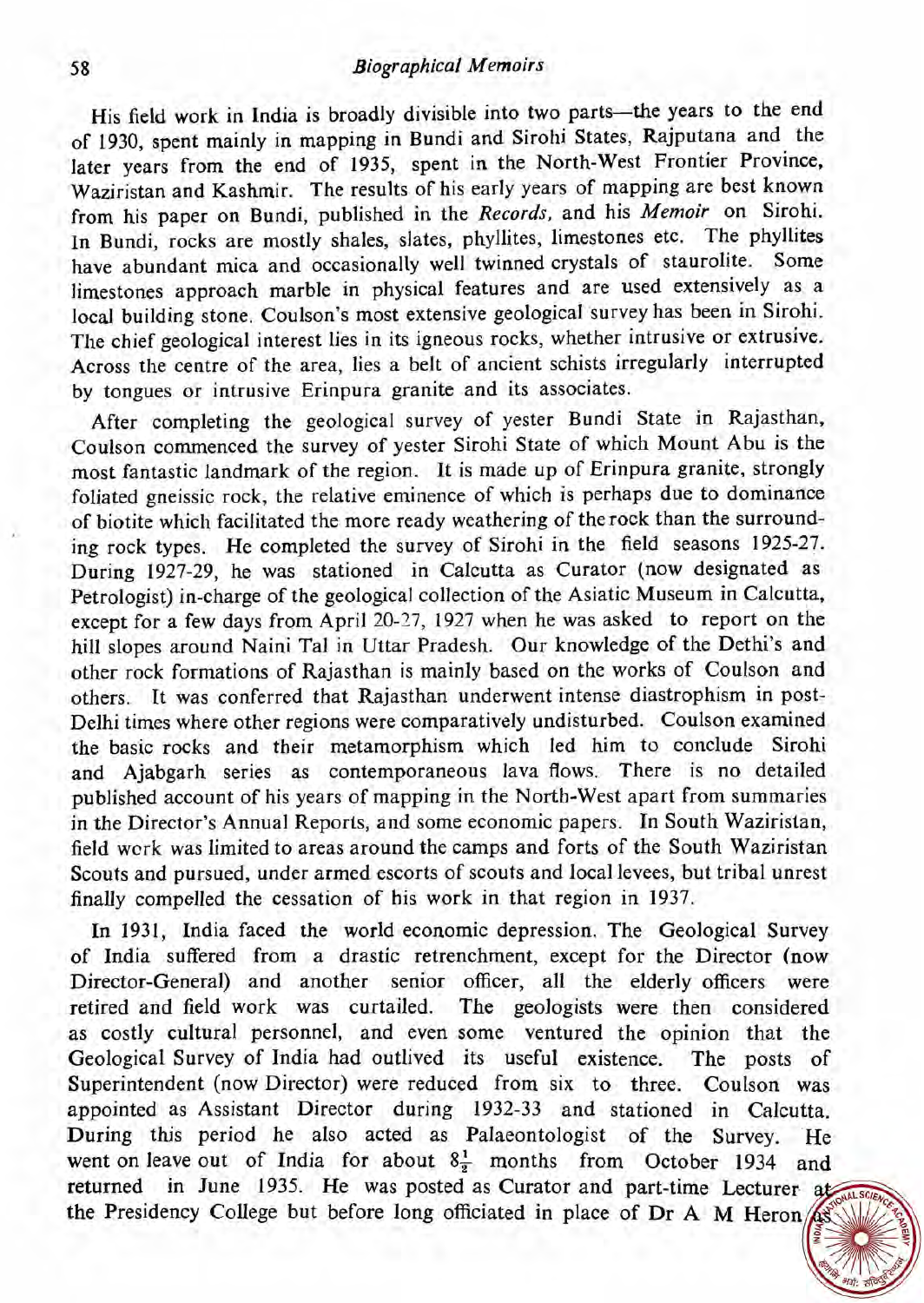His field work in India is broadly divisible into two parts-the years to the end of 1930, spent mainly in mapping in Bundi and Sirohi States, Rajputana and the later years from the end of 1935, spent in the North-West Frontier Province, Waziristan and Kashmir. The results of his early years of mapping are best known from his paper on Bundi, published in the *Records,* and his *Memoir* on Sirohi. In Bundi, rocks are mostly shales, slates, phyllites, limestones etc. The phyllites have abundant mica and occasionally well twinned crystals of staurolite. Some limestones approach marble in physical features and are used extensively as a local building stone. Coulson's most extensive geological survey has been in Sirohi. The chief geological interest lies in its igneous rocks, whether intrusive or extrusive. Across the centre of the area, lies a belt of ancient schists irregularly interrupted by tongues or intrusive Erinpura granite and its associates.

After completing the geological survey of yester Bundi State in Rajasthan, Coulson commenced the survey of yester Sirohi State of which Mount Abu is the most fantastic landmark of the region. It is made up of Erinpura granite, strongly foliated gneissic rock, the relative eminence of which is perhaps due to dominance of biotite which facilitated the more ready weathering of therock than the surrounding rock types. He completed the survey of Sirohi in the field seasons 1925-27. During 1927-29, he was stationed in Calcutta as Curator (now designated as Petrologist) in-charge of the geological collection of the Asiatic Museum in Calcutta, except for a few days from April 20-27, 1927 when he was asked to report on the hill slopes around Naini Tal in Uttar Pradesh. Our knowledge of the Dethi's and other rock formations of Rajasthan is mainly based on the works of Coulson and others. It was conferred that Rajasthan underwent intense diastrophism in post-Delhi times where other regions were comparatively undisturbed. Coulson examined the basic rocks and their metamorphism which led him to conclude Sirohi and Ajabgarh series as contemporaneous lava flows. There is no detailed published account of his years of mapping in the North-West apart from summaries in the Director's Annual Reports, and some economic papers. In South Waziristan, field wcrk was limited to areas around the camps and forts of the South Waziristan Scouts and pursued, under armed escorts of scouts and local levees, but tribal unrest finally compelled the cessation of his work in that region in 1937.

In 1931, India faced the world economic depression. The Geological Survey of India suffered from a drastic retrenchment, except for the Director (now Director-General) and another senior officer, all the elderly officers were retired and field work was curtailed. The geologists were then considered as costly cultural personnel, and even some ventured the opinion that the Geological Survey of India had outlived its useful existence. The posts of Superintendent (now Director) were reduced from six to three. Coulson was appointed as Assistant Director during 1932-33 and stationed in Calcutta. During this period he also acted as Palaeontologist of the Survey. He went on leave out of India for about  $8\frac{1}{3}$  months from October 1934 and returned in June 1935. He was posted as Curator and part-time Lecturer at the Presidency College but before long officiated in place of Dr **A** M Heron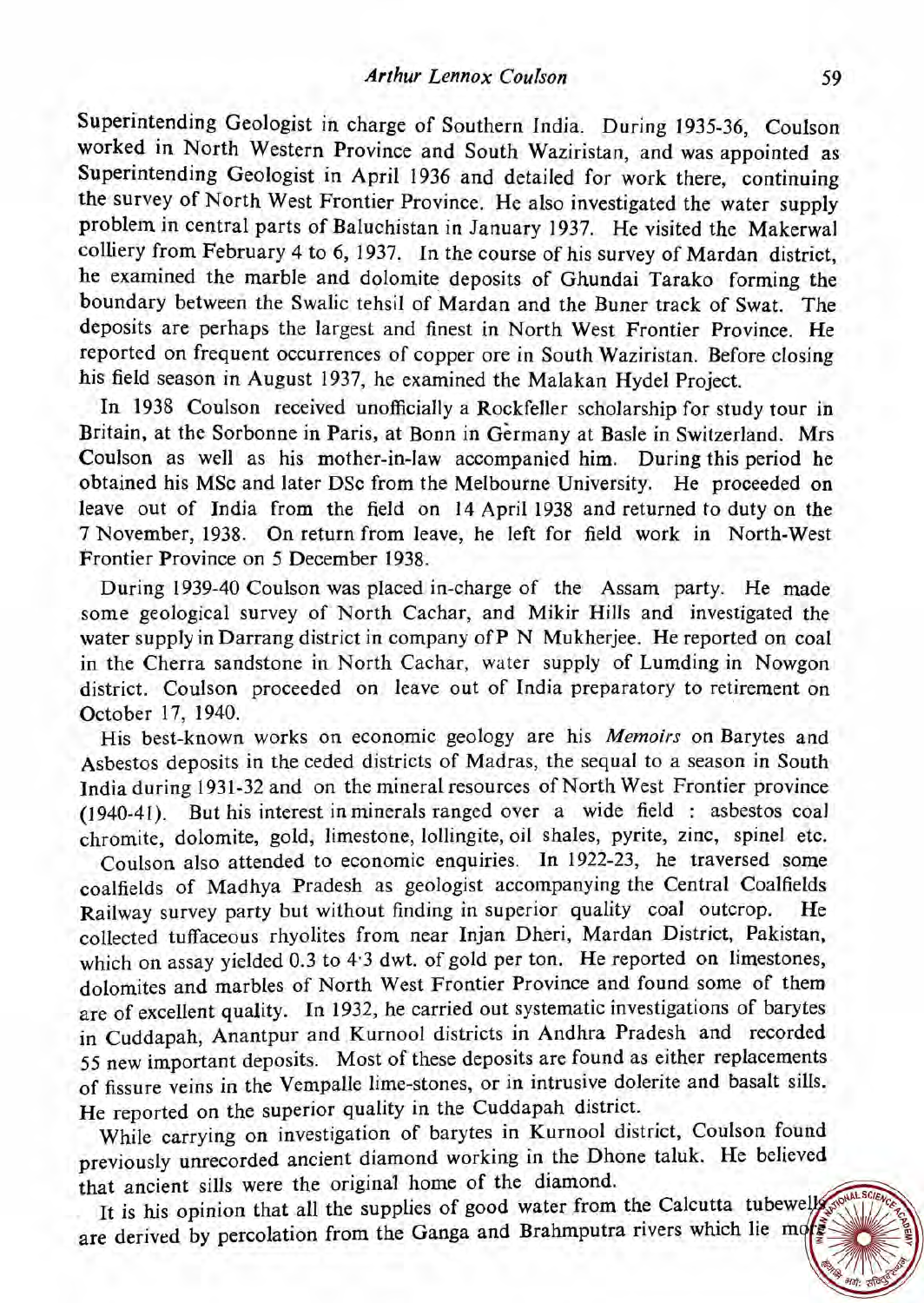Superintending Geologist in charge of Southern India. During 1935-36, Coulson worked in North Western Province and South Waziristan, and was appointed as Superintending Geologist in April 1936 and detailed for work there, continuing the survey of North West Frontier Province. He also investigated the water supply problem in central parts of Baluchistan in January 1937. He visited the Makerwal colliery from February 4 to 6, 1937. In the course of his survey of Mardan district, he examined the marble and dolomite deposits of Ghundai Tarako forming the boundary between the Swalic tehsil of Mardan and the Buner track of Swat. The deposits are perhaps the largest and finest in North West Frontier Province. He reported on frequent occurrences of copper ore in South Waziristan. Before closing his field season in August 1937, he examined the Malakan Hydel Project.

In 1938 Coulson received unofficially a Rockfeller scholarship for study tour in Britain, at the Sorbonne in Paris, at Bonn in Germany at Basle in Switzerland. Mrs Coulson as well as his mother-in-law accompanied him. During this period he obtained his MSc and later DSc from the Melbourne University. He proceeded on leave out of India from the field on 14 April 1938 and returned to duty on the 7 November, 1938. On return from leave, he left for field work in North-West Frontier Province on 5 December 1938.

During 1939-40 Coulson was placed in-charge of the Assam party. He made some geological survey of North Cachar, and Mikir Hills and investigated the water supply in Darrang district in company of P N Mukherjee. He reported on coal in the Cherra sandstone in North Cachar, water supply of Lumding in Nowgon district. Coulson proceeded on leave out of India preparatory to retirement on October 17, 1940.

His best-known works on economic geology are his **Memoirs** on Barytes and Asbestos deposits in the ceded districts of Madras, the sequal to a season in South India during 1931-32 and on the mineral resources of North West Frontier province (1940-41). But his interest inminerals ranged over a wide field : asbestos coal chromite, dolomite, gold, limestone, lollingite, oil shales, pyrite, zinc, spinel etc.

Coulson also attended to economic enquiries. In 1922-23, he traversed some coalfields of Madhya Pradesh as geologist accompanying the Central Coalfields Railway survey party but without finding in superior quality coal outcrop. He collected tuffaceous rhyolites from near Injan Dheri, Mardan District, Pakistan, which on assay yielded 0.3 to 4.3 dwt. of gold per ton. He reported on limestones, dolomites and marbles of North West Frontier Province and found some of them are of excellent quality. In 1932, he carried out systematic investigations of barytes in Cuddapah, Anantpur and Kurnool districts in Andhra Pradesh and recorded **55** new important deposits. Most of these deposits are found as either replacements of fissure veins in the Vempalle lime-stones, or in intrusive dolerite and basalt sills. He reported on the superior quality in the Cuddapah district.

While carrying on investigation of barytes in Kurnool district, Coulson found previously unrecorded ancient diamond working in the Dhone taluk. He believed that ancient sills were the original home of the diamond.

It is his opinion that all the supplies of good water from the Calcutta tubewells are derived by percolation from the Ganga and Brahmputra rivers which lie more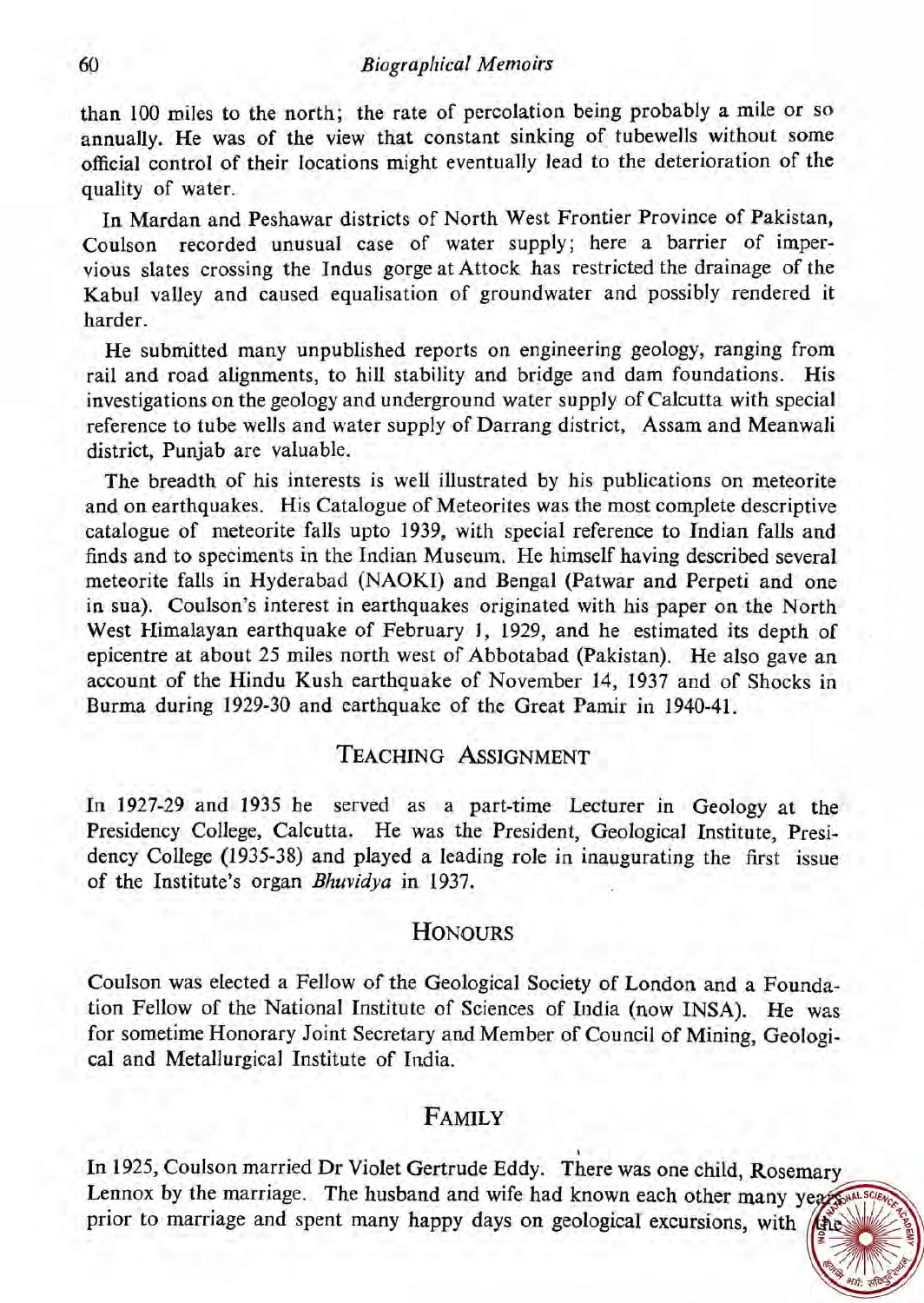than 100 miles to the north; the rate of percolation being probably a mile or so annually. He was of the view that constant sinking of tubewells without some official control of their locations might eventually lead to the deterioration of the quality of water.

In Mardan and Peshawar districts of North West Frontier Province of Pakistan, Coulson recorded unusual case of water supply; here a barrier of impervious slates crossing the Indus gorge at Attock has restricted the drainage of the Kabul valley and caused equalisation of groundwater and possibly rendered it harder.

He submitted many unpublished reports on engineering geology, ranging from rail and road alignments, to hill stability and bridge and dam foundations. His investigations on the geology and underground water supply of Calcutta with special reference to tube wells and water supply of Darrang district, Assam and Meanwali district, Punjab are valuable.

The breadth of his interests is well illustrated by his publications on meteorite and on earthquakes. His Catalogue of Meteorites was the most complete descriptive catalogue of meteorite falls upto 1939, with special reference to Indian falls and finds and to speciments in the Indian Museum. He himself having described several meteorite falls in Hyderabad (NAOKI) and Bengal (Patwar and Perpeti and one in sua). Coulson's interest in earthquakes originated with his paper on the North West Himalayan earthquake of February I, 1929, and he estimated its depth of epicentre at about 25 miles north west of Abbotabad (Pakistan). He also gave an account of the Hindu Kush earthquake of November 14, 1937 and of Shocks in Burma during 1929-30 and earthquake of the Great Pamir in 1940-41.

#### **TEACHING ASSIGNMENT**

In 1927-29 and 1935 he served as a part-time Lecturer in Geology at the Presidency College, Calcutta. He was the President, Geological Institute, Presidency College (1935-38) and played a leading role in inaugurating the first issue of the Institute's organ **Bhuvidya** in 1937.

#### **HONOURS**

Coulson was elected a Fellow of the Geological Society of London and a Foundation Fellow of the National Institute of Sciences of India (now INSA). He was for sometime Honorary Joint Secretary and Member of Council of Mining, Geological and Metallurgical Institute of India.

### **FAMILY**

In 1925, Coulson married Dr Violet Gertrude Eddy. There was one child, Rosemary Lennox by the marriage. The husband and wife had known each other many years prior to marriage and spent many happy days on geological excursions, with the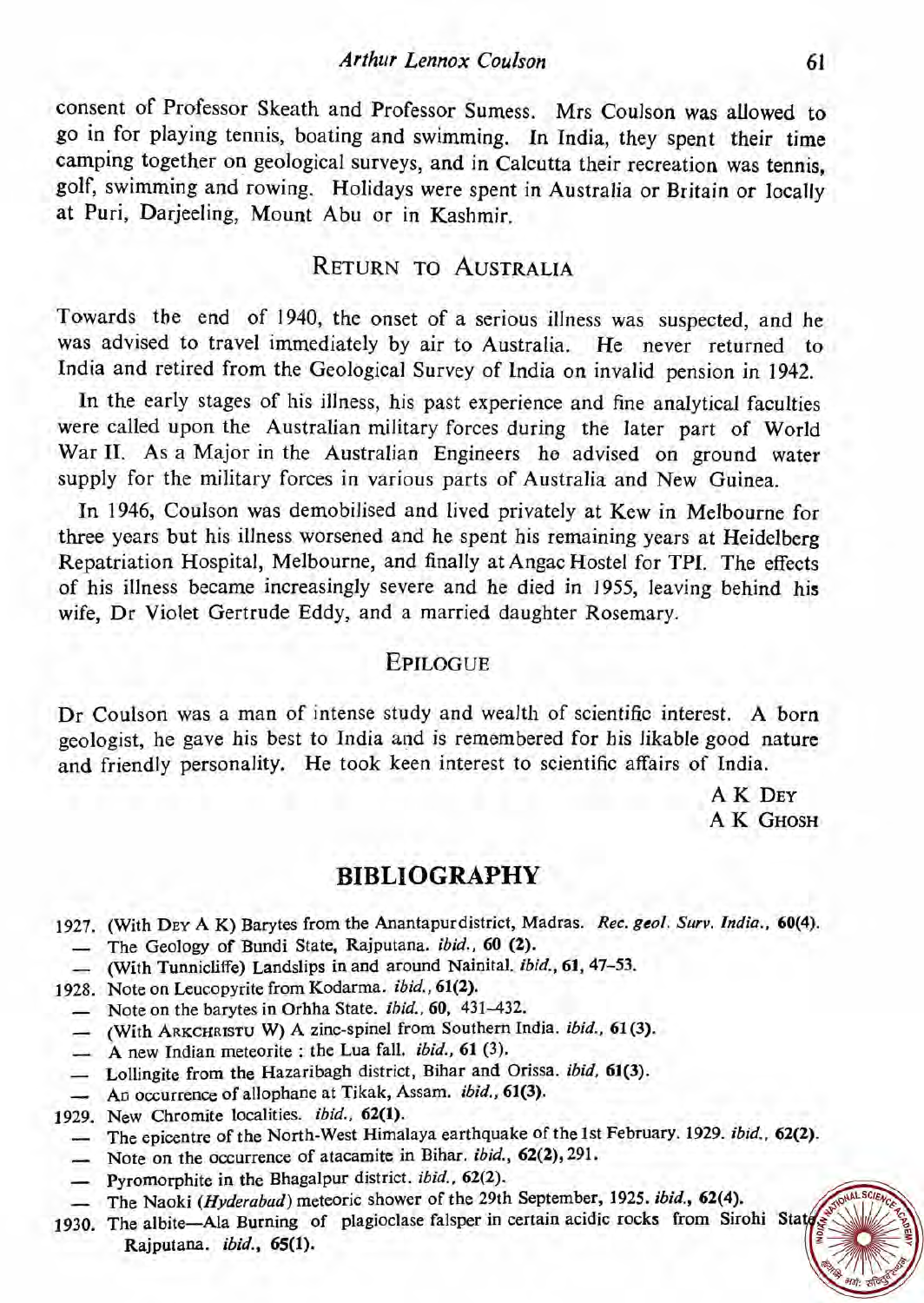consent of Professor Skeath and Professor Sumess. Mrs Coulson was allowed to go in for playing tennis, boating and swimming. In India, they spent their time camping together on geological surveys, and in Calcutta their recreation was tennis, golf, swimming and rowing. Holidays were spent in Australia or Britain or locally at Puri, Darjeeling, Mount Abu or in Kashmir.

### **RETURN TO AUSTRALIA**

Towards the end of 1940, the onset of a serious illness was suspected, and he was advised to travel immediately by air to Australia. He never returned to India and retired from the Geological Survey of lndia on invalid pension in 1942.

In the early stages of his illness, his past experience and fine analytical faculties were called upon the Australian military forces during the later part of World War 11. As a Major in the Australian Engineers ho advised on ground water supply for the military forces in various parts of Australia and New Guinea.

In 1946, Coulson was demobilised and lived privately at Kew in Melbourne for three years but his illness worsened and he spent his remaining years at Heidelberg Repatriation Hospital, Melbourne, and finally at Angac Hostel for TPI. The effects of his illness became increasingly severe and he died in 1955, leaving behind his wife, Dr Violet Gertrude Eddy, and a married daughter Rosemary.

#### **EPILOGUE**

Dr Coulson was a man of intense study and wealth of scientific interest. **A** born geologist, he gave his best to India and is remembered for his likable good nature and friendly personality. He took keen interest to scientific affairs of India.

> **A K DEY A** K GHOSH

# **BIBLIOGRAPHY**

- **1927.** (With **DEY A** K) Barytes from the Anantapurdistrict, Madras. Rec. geol. Surv. India., 60(4). 27. (With Dey A K) Barytes from the Anantapur district, Ma — The Geology of Bundi State, Rajputana. *ibid.*, 60 (2).
	- The Geology of Bundi State, Rajputana. *ibid.*, 60 (2).<br>- (With Tunnicliffe) Landslips in and around Nainital. *ibid.*, 61, 47–53.
- **1928.** Note on Leucopyrite from Kodarma. ibid., 61(2).
	- Note on the barytes in Orhha State. *ihid.*, 60, 431-432.
	- 28. Note on Leucopyrite from Kodarma. *ibid.*, **o1(2)**.<br>
	 Note on the barytes in Orhha State. *ibid.*, **60**, 431–432.<br>
	 (With ARKCHRISTU W) A zinc-spinel from Southern India. *ibid.*, **61(3)**. - Note on the barytes in Orhha State. *ibid.*, 60, 431-43<br>
	- (With ARKCHRISTU W) A zinc-spinel from Southern<br>
	- A new Indian meteorite : the Lua fall. *ibid.*, 61 (3).
	-
	- (With ARKCHRISTU W) A zinc-spine from Southern India, *bid.*, **o1(3)**.<br>- A new Indian meteorite : the Lua fall. *ibid.*, **61**(3).<br>- Lollingite from the Hazaribagh district, Bihar and Orissa. *ibid.* **61(3)**. - A new Indian meteorite : the Lua fall. *ibid.*, **61**(3).<br>- Lollingite from the Hazaribagh district, Bihar and Orissa.<br>- An occurrence of allophane at Tikak, Assam. *ibid.*, **61(3).**
	-
- **1929.** New Chromite localities. ibid., 62(1).
- An occurrence of allophane at Tikak, Assam. *ibid.*, 61(3).<br>29. New Chromite localities. *ibid.*, 62(1).<br>- The epicentre of the North-West Himalaya earthquake of the 1st February. 1929. *ibid.*, 62(2). 29. New Chromite localities. *ibid.*, 62(1).<br>
— The epicentre of the North-West Himalaya earthquake of the 1st<br>
— Note on the occurrence of atacamite in Bihar. *ibid.*, 62(2), 291.
	- Note on the occurrence of atacamite in Bihar. *ibid.*,  $62(2)$ ,  $291$ .<br>- Pyromorphite in the Bhagalpur district. *ibid.*,  $62(2)$ .
	-
	- The Naoki (Hyderabud) meteoric shower of the 29th September, 1925. ibid., 62(4).
- 1930. The albite-Ala Burning of plagioclase falsper in certain acidic rocks from Sirohi State Rajputana. ibid., 65(1).

![](_page_5_Picture_24.jpeg)